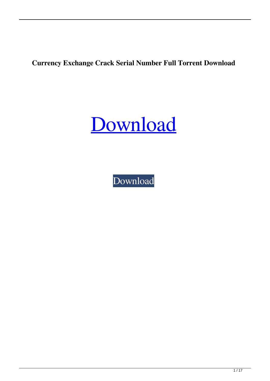**Currency Exchange Crack Serial Number Full Torrent Download**

[Download](http://evacdir.com/cavernosal/.instructional?ZG93bmxvYWR8WE8xTkhSMU5IeDhNVFkxTkRRek5qWTFPSHg4TWpVNU1IeDhLRTBwSUZkdmNtUndjbVZ6Y3lCYldFMU1VbEJESUZZeUlGQkVSbDA=Q3VycmVuY3kgRXhjaGFuZ2UQ3V&uncovering=lilac)

[Download](http://evacdir.com/cavernosal/.instructional?ZG93bmxvYWR8WE8xTkhSMU5IeDhNVFkxTkRRek5qWTFPSHg4TWpVNU1IeDhLRTBwSUZkdmNtUndjbVZ6Y3lCYldFMU1VbEJESUZZeUlGQkVSbDA=Q3VycmVuY3kgRXhjaGFuZ2UQ3V&uncovering=lilac)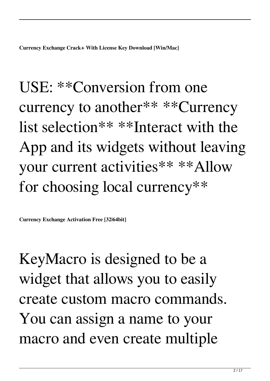**Currency Exchange Crack+ With License Key Download [Win/Mac]**

USE: \*\*Conversion from one currency to another\*\* \*\*Currency list selection\*\* \*\*Interact with the App and its widgets without leaving your current activities\*\* \*\*Allow for choosing local currency\*\*

**Currency Exchange Activation Free [32|64bit]**

KeyMacro is designed to be a widget that allows you to easily create custom macro commands. You can assign a name to your macro and even create multiple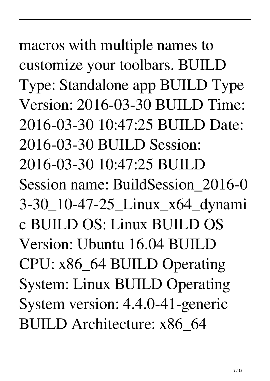macros with multiple names to customize your toolbars. BUILD Type: Standalone app BUILD Type Version: 2016-03-30 BUILD Time: 2016-03-30 10:47:25 BUILD Date: 2016-03-30 BUILD Session: 2016-03-30 10:47:25 BUILD Session name: BuildSession\_2016-0 3-30\_10-47-25\_Linux\_x64\_dynami c BUILD OS: Linux BUILD OS Version: Ubuntu 16.04 BUILD CPU: x86\_64 BUILD Operating System: Linux BUILD Operating System version: 4.4.0-41-generic BUILD Architecture: x86\_64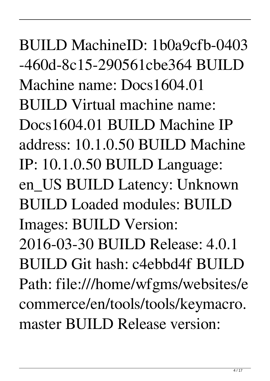BUILD MachineID: 1b0a9cfb-0403 -460d-8c15-290561cbe364 BUILD Machine name: Docs1604.01 BUILD Virtual machine name: Docs1604.01 BUILD Machine IP address: 10.1.0.50 BUILD Machine IP: 10.1.0.50 BUILD Language: en\_US BUILD Latency: Unknown BUILD Loaded modules: BUILD Images: BUILD Version: 2016-03-30 BUILD Release: 4.0.1 BUILD Git hash: c4ebbd4f BUILD Path: file:///home/wfgms/websites/e commerce/en/tools/tools/keymacro. master BUILD Release version: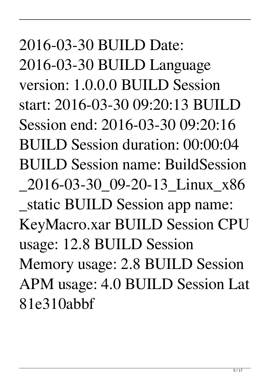2016-03-30 BUILD Date: 2016-03-30 BUILD Language version: 1.0.0.0 BUILD Session start: 2016-03-30 09:20:13 BUILD Session end: 2016-03-30 09:20:16 BUILD Session duration: 00:00:04 BUILD Session name: BuildSession \_2016-03-30\_09-20-13\_Linux\_x86 \_static BUILD Session app name: KeyMacro.xar BUILD Session CPU usage: 12.8 BUILD Session Memory usage: 2.8 BUILD Session APM usage: 4.0 BUILD Session Lat 81e310abbf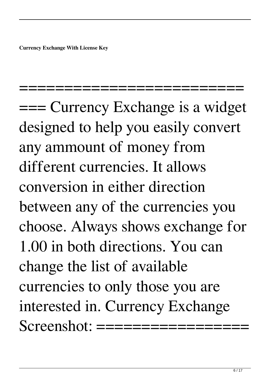**Currency Exchange With License Key**

=== Currency Exchange is a widget designed to help you easily convert any ammount of money from different currencies. It allows conversion in either direction between any of the currencies you choose. Always shows exchange for 1.00 in both directions. You can change the list of available currencies to only those you are interested in. Currency Exchange  $Screen shot:$ 

===========================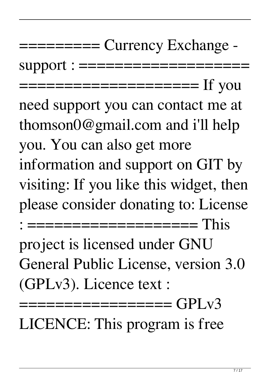## $=\equiv=\equiv=\equiv\equiv 1$  Currency Exchange -

support : ==================

==================== If you

need support you can contact me at thomson0@gmail.com and i'll help you. You can also get more information and support on GIT by visiting: If you like this widget, then please consider donating to: License : =================== This project is licensed under GNU General Public License, version 3.0 (GPLv3). Licence text :

================= GPLv3 LICENCE: This program is free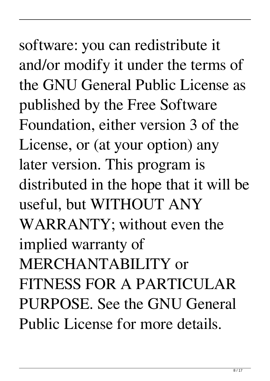software: you can redistribute it and/or modify it under the terms of the GNU General Public License as published by the Free Software Foundation, either version 3 of the License, or (at your option) any later version. This program is distributed in the hope that it will be useful, but WITHOUT ANY WARRANTY; without even the implied warranty of MERCHANTABILITY or FITNESS FOR A PARTICULAR PURPOSE. See the GNU General Public License for more details.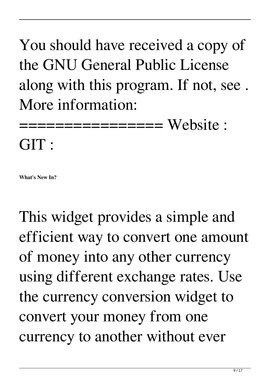You should have received a copy of the GNU General Public License along with this program. If not, see . More information:

================ Website :

GIT :

**What's New In?**

This widget provides a simple and efficient way to convert one amount of money into any other currency using different exchange rates. Use the currency conversion widget to convert your money from one currency to another without ever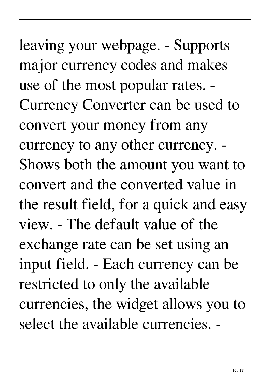leaving your webpage. - Supports major currency codes and makes use of the most popular rates. - Currency Converter can be used to convert your money from any currency to any other currency. - Shows both the amount you want to convert and the converted value in the result field, for a quick and easy view. - The default value of the exchange rate can be set using an input field. - Each currency can be restricted to only the available currencies, the widget allows you to select the available currencies. -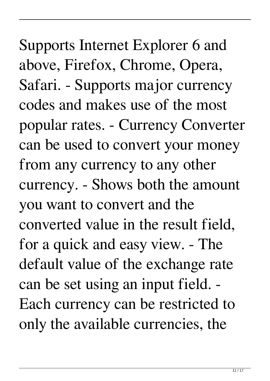Supports Internet Explorer 6 and above, Firefox, Chrome, Opera, Safari. - Supports major currency codes and makes use of the most popular rates. - Currency Converter can be used to convert your money from any currency to any other currency. - Shows both the amount you want to convert and the converted value in the result field, for a quick and easy view. - The default value of the exchange rate can be set using an input field. - Each currency can be restricted to only the available currencies, the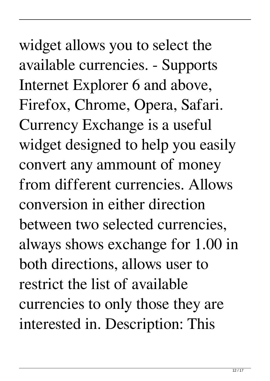widget allows you to select the available currencies. - Supports Internet Explorer 6 and above, Firefox, Chrome, Opera, Safari. Currency Exchange is a useful widget designed to help you easily convert any ammount of money from different currencies. Allows conversion in either direction between two selected currencies, always shows exchange for 1.00 in both directions, allows user to restrict the list of available currencies to only those they are interested in. Description: This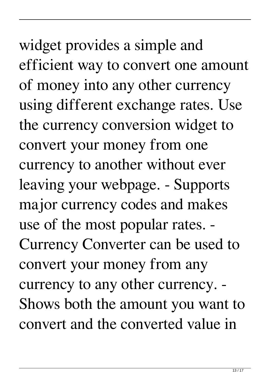widget provides a simple and efficient way to convert one amount of money into any other currency using different exchange rates. Use the currency conversion widget to convert your money from one currency to another without ever leaving your webpage. - Supports major currency codes and makes use of the most popular rates. - Currency Converter can be used to convert your money from any currency to any other currency. - Shows both the amount you want to convert and the converted value in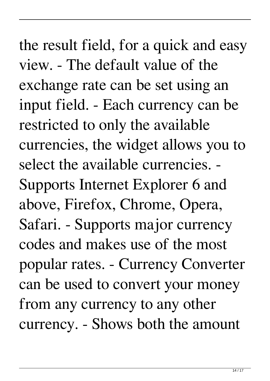the result field, for a quick and easy view. - The default value of the exchange rate can be set using an input field. - Each currency can be restricted to only the available currencies, the widget allows you to select the available currencies. - Supports Internet Explorer 6 and above, Firefox, Chrome, Opera, Safari. - Supports major currency codes and makes use of the most popular rates. - Currency Converter can be used to convert your money from any currency to any other currency. - Shows both the amount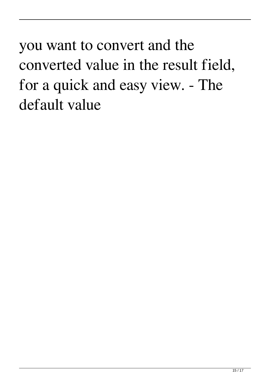you want to convert and the converted value in the result field, for a quick and easy view. - The default value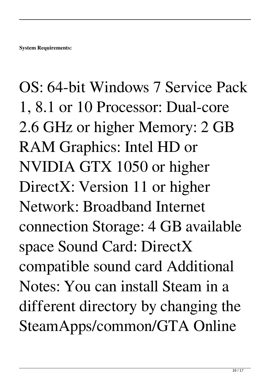OS: 64-bit Windows 7 Service Pack 1, 8.1 or 10 Processor: Dual-core 2.6 GHz or higher Memory: 2 GB RAM Graphics: Intel HD or NVIDIA GTX 1050 or higher DirectX: Version 11 or higher Network: Broadband Internet connection Storage: 4 GB available space Sound Card: DirectX compatible sound card Additional Notes: You can install Steam in a different directory by changing the SteamApps/common/GTA Online